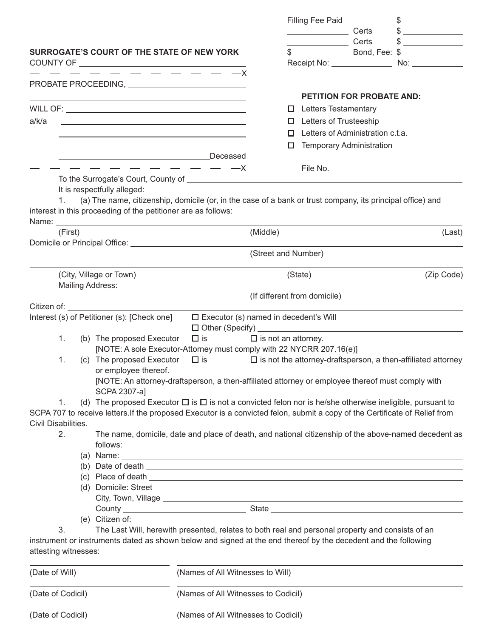|                                                                                                                                                                                                                          |         |                                                                                                                                                                                                                                |                                                                                                                                                                                                                                                                                           |                               | Filling Fee Paid                        |       | $$\overbrace{\hspace{2.5cm}}$                                          |
|--------------------------------------------------------------------------------------------------------------------------------------------------------------------------------------------------------------------------|---------|--------------------------------------------------------------------------------------------------------------------------------------------------------------------------------------------------------------------------------|-------------------------------------------------------------------------------------------------------------------------------------------------------------------------------------------------------------------------------------------------------------------------------------------|-------------------------------|-----------------------------------------|-------|------------------------------------------------------------------------|
|                                                                                                                                                                                                                          |         |                                                                                                                                                                                                                                |                                                                                                                                                                                                                                                                                           |                               | <u> 1989 - Johann Barbara, martin a</u> | Certs | $\frac{1}{2}$                                                          |
|                                                                                                                                                                                                                          |         |                                                                                                                                                                                                                                |                                                                                                                                                                                                                                                                                           |                               | Certs                                   |       | $$\overbrace{\hspace{2.5cm}}$$                                         |
| <b>SURROGATE'S COURT OF THE STATE OF NEW YORK</b>                                                                                                                                                                        |         |                                                                                                                                                                                                                                |                                                                                                                                                                                                                                                                                           |                               |                                         |       |                                                                        |
|                                                                                                                                                                                                                          |         |                                                                                                                                                                                                                                |                                                                                                                                                                                                                                                                                           |                               | Receipt No: _______________             |       | No: _______________                                                    |
|                                                                                                                                                                                                                          |         |                                                                                                                                                                                                                                |                                                                                                                                                                                                                                                                                           |                               |                                         |       |                                                                        |
|                                                                                                                                                                                                                          |         |                                                                                                                                                                                                                                |                                                                                                                                                                                                                                                                                           |                               |                                         |       |                                                                        |
|                                                                                                                                                                                                                          |         |                                                                                                                                                                                                                                |                                                                                                                                                                                                                                                                                           |                               | <b>PETITION FOR PROBATE AND:</b>        |       |                                                                        |
|                                                                                                                                                                                                                          |         |                                                                                                                                                                                                                                |                                                                                                                                                                                                                                                                                           |                               | $\Box$ Letters Testamentary             |       |                                                                        |
| a/k/a                                                                                                                                                                                                                    |         | <u> 1989 - Johann Stein, marwolaethau a bhann an t-Amhain ann an t-Amhain an t-Amhain an t-Amhain an t-Amhain an </u>                                                                                                          |                                                                                                                                                                                                                                                                                           |                               | $\Box$ Letters of Trusteeship           |       |                                                                        |
|                                                                                                                                                                                                                          |         |                                                                                                                                                                                                                                |                                                                                                                                                                                                                                                                                           |                               | Letters of Administration c.t.a.        |       |                                                                        |
|                                                                                                                                                                                                                          |         | the control of the control of the control of the control of the control of the control of                                                                                                                                      |                                                                                                                                                                                                                                                                                           |                               | <b>Temporary Administration</b>         |       |                                                                        |
|                                                                                                                                                                                                                          |         |                                                                                                                                                                                                                                |                                                                                                                                                                                                                                                                                           |                               |                                         |       |                                                                        |
|                                                                                                                                                                                                                          |         | $- - - - - - - - - -$                                                                                                                                                                                                          |                                                                                                                                                                                                                                                                                           |                               |                                         |       |                                                                        |
|                                                                                                                                                                                                                          |         |                                                                                                                                                                                                                                |                                                                                                                                                                                                                                                                                           |                               |                                         |       |                                                                        |
|                                                                                                                                                                                                                          |         | It is respectfully alleged:                                                                                                                                                                                                    |                                                                                                                                                                                                                                                                                           |                               |                                         |       |                                                                        |
| 1.                                                                                                                                                                                                                       |         |                                                                                                                                                                                                                                | (a) The name, citizenship, domicile (or, in the case of a bank or trust company, its principal office) and                                                                                                                                                                                |                               |                                         |       |                                                                        |
|                                                                                                                                                                                                                          |         | interest in this proceeding of the petitioner are as follows:                                                                                                                                                                  |                                                                                                                                                                                                                                                                                           |                               |                                         |       |                                                                        |
|                                                                                                                                                                                                                          |         | Name: Name and the state of the state of the state of the state of the state of the state of the state of the state of the state of the state of the state of the state of the state of the state of the state of the state of |                                                                                                                                                                                                                                                                                           |                               |                                         |       |                                                                        |
|                                                                                                                                                                                                                          | (First) |                                                                                                                                                                                                                                |                                                                                                                                                                                                                                                                                           | (Middle)                      |                                         |       | (Last)                                                                 |
|                                                                                                                                                                                                                          |         |                                                                                                                                                                                                                                |                                                                                                                                                                                                                                                                                           | (Street and Number)           |                                         |       |                                                                        |
|                                                                                                                                                                                                                          |         |                                                                                                                                                                                                                                |                                                                                                                                                                                                                                                                                           |                               |                                         |       |                                                                        |
|                                                                                                                                                                                                                          |         | (City, Village or Town)                                                                                                                                                                                                        |                                                                                                                                                                                                                                                                                           |                               | (State)                                 |       | (Zip Code)                                                             |
|                                                                                                                                                                                                                          |         |                                                                                                                                                                                                                                |                                                                                                                                                                                                                                                                                           |                               |                                         |       |                                                                        |
|                                                                                                                                                                                                                          |         |                                                                                                                                                                                                                                |                                                                                                                                                                                                                                                                                           |                               | (If different from domicile)            |       |                                                                        |
|                                                                                                                                                                                                                          |         | Citizen of: The Contract of the Contract of the Contract of the Contract of the Contract of the Contract of the Contract of the Contract of the Contract of the Contract of the Contract of the Contract of the Contract of th |                                                                                                                                                                                                                                                                                           |                               |                                         |       |                                                                        |
|                                                                                                                                                                                                                          |         | Interest (s) of Petitioner (s): [Check one]                                                                                                                                                                                    | $\Box$ Executor (s) named in decedent's Will                                                                                                                                                                                                                                              |                               |                                         |       |                                                                        |
|                                                                                                                                                                                                                          |         |                                                                                                                                                                                                                                |                                                                                                                                                                                                                                                                                           |                               |                                         |       |                                                                        |
| 1.                                                                                                                                                                                                                       |         | (b) The proposed Executor                                                                                                                                                                                                      | $\Box$ is                                                                                                                                                                                                                                                                                 | $\square$ is not an attorney. |                                         |       |                                                                        |
|                                                                                                                                                                                                                          |         |                                                                                                                                                                                                                                | [NOTE: A sole Executor-Attorney must comply with 22 NYCRR 207.16(e)]                                                                                                                                                                                                                      |                               |                                         |       |                                                                        |
| 1.                                                                                                                                                                                                                       |         | (c) The proposed Executor                                                                                                                                                                                                      | $\Box$ is                                                                                                                                                                                                                                                                                 |                               |                                         |       | $\square$ is not the attorney-draftsperson, a then-affiliated attorney |
|                                                                                                                                                                                                                          |         | or employee thereof.                                                                                                                                                                                                           |                                                                                                                                                                                                                                                                                           |                               |                                         |       |                                                                        |
|                                                                                                                                                                                                                          |         | SCPA 2307-a]                                                                                                                                                                                                                   | [NOTE: An attorney-draftsperson, a then-affiliated attorney or employee thereof must comply with                                                                                                                                                                                          |                               |                                         |       |                                                                        |
| 1.                                                                                                                                                                                                                       |         |                                                                                                                                                                                                                                | (d) The proposed Executor $\Box$ is $\Box$ is not a convicted felon nor is he/she otherwise ineligible, pursuant to                                                                                                                                                                       |                               |                                         |       |                                                                        |
|                                                                                                                                                                                                                          |         |                                                                                                                                                                                                                                | SCPA 707 to receive letters. If the proposed Executor is a convicted felon, submit a copy of the Certificate of Relief from                                                                                                                                                               |                               |                                         |       |                                                                        |
| Civil Disabilities.                                                                                                                                                                                                      |         |                                                                                                                                                                                                                                |                                                                                                                                                                                                                                                                                           |                               |                                         |       |                                                                        |
| 2.                                                                                                                                                                                                                       |         |                                                                                                                                                                                                                                | The name, domicile, date and place of death, and national citizenship of the above-named decedent as                                                                                                                                                                                      |                               |                                         |       |                                                                        |
|                                                                                                                                                                                                                          |         | follows:                                                                                                                                                                                                                       |                                                                                                                                                                                                                                                                                           |                               |                                         |       |                                                                        |
|                                                                                                                                                                                                                          |         |                                                                                                                                                                                                                                | (a) Name: $\frac{1}{2}$ Name: $\frac{1}{2}$ and $\frac{1}{2}$ and $\frac{1}{2}$ and $\frac{1}{2}$ and $\frac{1}{2}$ and $\frac{1}{2}$ and $\frac{1}{2}$ and $\frac{1}{2}$ and $\frac{1}{2}$ and $\frac{1}{2}$ and $\frac{1}{2}$ and $\frac{1}{2}$ and $\frac{1}{2}$ and $\frac{1}{2}$ and |                               |                                         |       |                                                                        |
|                                                                                                                                                                                                                          |         |                                                                                                                                                                                                                                |                                                                                                                                                                                                                                                                                           |                               |                                         |       |                                                                        |
|                                                                                                                                                                                                                          |         |                                                                                                                                                                                                                                |                                                                                                                                                                                                                                                                                           |                               |                                         |       |                                                                        |
|                                                                                                                                                                                                                          |         |                                                                                                                                                                                                                                |                                                                                                                                                                                                                                                                                           |                               |                                         |       |                                                                        |
|                                                                                                                                                                                                                          |         |                                                                                                                                                                                                                                |                                                                                                                                                                                                                                                                                           |                               |                                         |       |                                                                        |
|                                                                                                                                                                                                                          |         |                                                                                                                                                                                                                                |                                                                                                                                                                                                                                                                                           |                               |                                         |       |                                                                        |
|                                                                                                                                                                                                                          |         |                                                                                                                                                                                                                                |                                                                                                                                                                                                                                                                                           |                               |                                         |       |                                                                        |
| The Last Will, herewith presented, relates to both real and personal property and consists of an<br>3.<br>instrument or instruments dated as shown below and signed at the end thereof by the decedent and the following |         |                                                                                                                                                                                                                                |                                                                                                                                                                                                                                                                                           |                               |                                         |       |                                                                        |
|                                                                                                                                                                                                                          |         |                                                                                                                                                                                                                                |                                                                                                                                                                                                                                                                                           |                               |                                         |       |                                                                        |
| attesting witnesses:                                                                                                                                                                                                     |         |                                                                                                                                                                                                                                |                                                                                                                                                                                                                                                                                           |                               |                                         |       |                                                                        |
| (Date of Will)                                                                                                                                                                                                           |         |                                                                                                                                                                                                                                |                                                                                                                                                                                                                                                                                           |                               |                                         |       |                                                                        |
|                                                                                                                                                                                                                          |         |                                                                                                                                                                                                                                | (Names of All Witnesses to Will)                                                                                                                                                                                                                                                          |                               |                                         |       |                                                                        |
| (Date of Codicil)                                                                                                                                                                                                        |         |                                                                                                                                                                                                                                | (Names of All Witnesses to Codicil)                                                                                                                                                                                                                                                       |                               |                                         |       |                                                                        |
|                                                                                                                                                                                                                          |         |                                                                                                                                                                                                                                |                                                                                                                                                                                                                                                                                           |                               |                                         |       |                                                                        |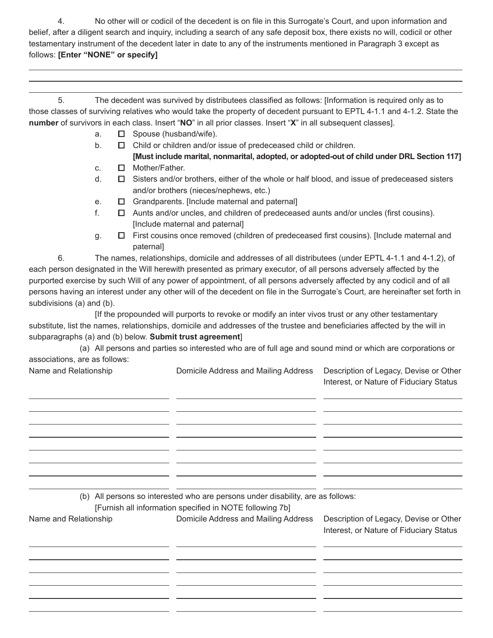4. No other will or codicil of the decedent is on file in this Surrogate's Court, and upon information and belief, after a diligent search and inquiry, including a search of any safe deposit box, there exists no will, codicil or other testamentary instrument of the decedent later in date to any of the instruments mentioned in Paragraph 3 except as follows: **[Enter "NONE" or specify]**

 5. The decedent was survived by distributees classified as follows: [Information is required only as to those classes of surviving relatives who would take the property of decedent pursuant to EPTL 4-1.1 and 4-1.2. State the **number** of survivors in each class. Insert "**NO**" in all prior classes. Insert "**X**" in all subsequent classes].

- a. **□** Spouse (husband/wife).
- b. **□** Child or children and/or issue of predeceased child or children.
	- **[Must include marital, nonmarital, adopted, or adopted-out of child under DRL Section 117]**
- c. **□** Mother/Father.
- d. **□** Sisters and/or brothers, either of the whole or half blood, and issue of predeceased sisters and/or brothers (nieces/nephews, etc.)
- e. **□** Grandparents. [Include maternal and paternal]
- f. **□** Aunts and/or uncles, and children of predeceased aunts and/or uncles (first cousins). [Include maternal and paternal]
- g. **□** First cousins once removed (children of predeceased first cousins). [Include maternal and paternal]

6. The names, relationships, domicile and addresses of all distributees (under EPTL 4-1.1 and 4-1.2), of each person designated in the Will herewith presented as primary executor, of all persons adversely affected by the purported exercise by such Will of any power of appointment, of all persons adversely affected by any codicil and of all persons having an interest under any other will of the decedent on file in the Surrogate's Court, are hereinafter set forth in subdivisions (a) and (b).

 [If the propounded will purports to revoke or modify an inter vivos trust or any other testamentary substitute, list the names, relationships, domicile and addresses of the trustee and beneficiaries affected by the will in subparagraphs (a) and (b) below. **Submit trust agreement**]

 (a) All persons and parties so interested who are of full age and sound mind or which are corporations or associations, are as follows:

> $\overline{a}$  $\overline{a}$  $\overline{a}$  $\overline{a}$  $\overline{a}$  $\overline{a}$  $\overline{a}$  $\overline{a}$

|  | Name and Relationship |
|--|-----------------------|
|  |                       |

 $\overline{a}$ 

Domicile Address and Mailing Address Description of Legacy, Devise or Other

Interest, or Nature of Fiduciary Status

(b) All persons so interested who are persons under disability, are as follows:

 [Furnish all information specified in NOTE following 7b]

Name and Relationship Domicile Address and Mailing Address Description of Legacy, Devise or Other

 $\overline{a}$  $\overline{a}$  $\overline{a}$  $\overline{a}$  $\overline{a}$  $\overline{a}$  Interest, or Nature of Fiduciary Status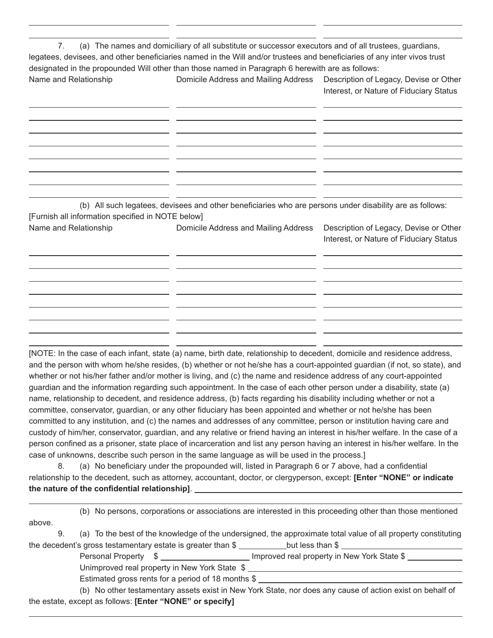$\overline{a}$ 7. (a) The names and domiciliary of all substitute or successor executors and of all trustees, guardians, legatees, devisees, and other beneficiaries named in the Will and/or trustees and beneficiaries of any inter vivos trust designated in the propounded Will other than those named in Paragraph 6 herewith are as follows: Name and Relationship **Domicile Address and Mailing Address** Description of Legacy, Devise or Other Interest, or Nature of Fiduciary Status  $\overline{a}$  $\overline{a}$  $\overline{a}$  $\overline{a}$  $\overline{a}$  $\overline{a}$  $\overline{a}$  $\overline{a}$ (b) All such legatees, devisees and other beneficiaries who are persons under disability are as follows: [Furnish all information specified in NOTE below] Name and Relationship **Domicile Address and Mailing Address** Description of Legacy, Devise or Other Interest, or Nature of Fiduciary Status  $\overline{a}$  $\overline{a}$  $\overline{a}$  $\overline{a}$  $\overline{a}$  $\overline{a}$ 

 $\overline{a}$ 

[NOTE: In the case of each infant, state (a) name, birth date, relationship to decedent, domicile and residence address, and the person with whom he/she resides, (b) whether or not he/she has a court-appointed guardian (if not, so state), and whether or not his/her father and/or mother is living, and (c) the name and residence address of any court-appointed guardian and the information regarding such appointment. In the case of each other person under a disability, state (a) name, relationship to decedent, and residence address, (b) facts regarding his disability including whether or not a committee, conservator, guardian, or any other fiduciary has been appointed and whether or not he/she has been committed to any institution, and (c) the names and addresses of any committee, person or institution having care and custody of him/her, conservator, guardian, and any relative or friend having an interest in his/her welfare. In the case of a person confined as a prisoner, state place of incarceration and list any person having an interest in his/her welfare. In the case of unknowns, describe such person in the same language as will be used in the process.]

 $\overline{a}$  $\overline{a}$ 

8. (a) No beneficiary under the propounded will, listed in Paragraph 6 or 7 above, had a confidential relationship to the decedent, such as attorney, accountant, doctor, or clergyperson, except: **[Enter "NONE" or indicate the nature of the confidential relationship]**.

|        |  | (b) No persons, corporations or associations are interested in this proceeding other than those mentioned     |
|--------|--|---------------------------------------------------------------------------------------------------------------|
| above. |  |                                                                                                               |
|        |  | (a) To the best of the knowledge of the undersigned, the approximate total value of all property constituting |

the decedent's gross testamentary estate is greater than  $\frac{1}{2}$  but less than  $\frac{1}{2}$ 

Personal Property  $\quad$   $\quad$   $\quad$  Improved real property in New York State \$

Unimproved real property in New York State \$

 $\overline{a}$ 

Estimated gross rents for a period of 18 months \$

 $\overline{a}$ 

 (b) No other testamentary assets exist in New York State, nor does any cause of action exist on behalf of the estate, except as follows: **[Enter "NONE" or specify]**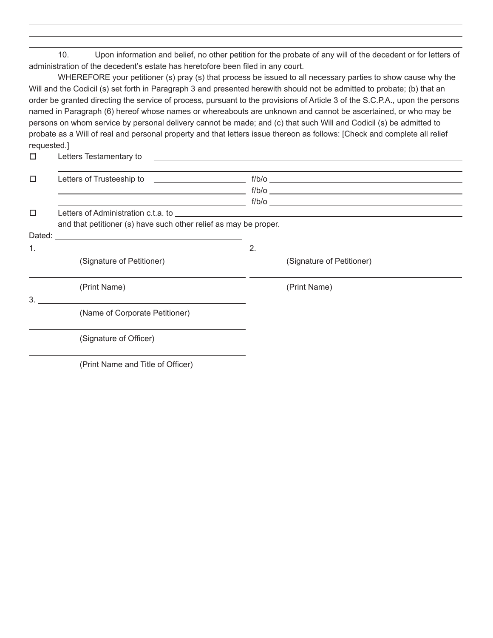10. Upon information and belief, no other petition for the probate of any will of the decedent or for letters of administration of the decedent's estate has heretofore been filed in any court.

 $\overline{a}$  $\overline{a}$  $\overline{a}$ 

WHEREFORE your petitioner (s) pray (s) that process be issued to all necessary parties to show cause why the Will and the Codicil (s) set forth in Paragraph 3 and presented herewith should not be admitted to probate; (b) that an order be granted directing the service of process, pursuant to the provisions of Article 3 of the S.C.P.A., upon the persons named in Paragraph (6) hereof whose names or whereabouts are unknown and cannot be ascertained, or who may be persons on whom service by personal delivery cannot be made; and (c) that such Will and Codicil (s) be admitted to probate as a Will of real and personal property and that letters issue thereon as follows: [Check and complete all relief requested.]

**□** Letters Testamentary to

| $\Box$ |                                                                  | $f/b/o$ $\qquad \qquad$   |
|--------|------------------------------------------------------------------|---------------------------|
|        | <u> 1980 - Andrea Stadt Britain, amerikansk politik (* 1908)</u> |                           |
|        | <u> 1989 - Johann Barn, fransk politik formuler (d. 1989)</u>    | $f/b/o$ $\qquad$          |
| П      |                                                                  |                           |
|        | and that petitioner (s) have such other relief as may be proper. |                           |
|        |                                                                  |                           |
|        |                                                                  | 2.                        |
|        | (Signature of Petitioner)                                        | (Signature of Petitioner) |
|        | (Print Name)                                                     | (Print Name)              |
| 3.     |                                                                  |                           |
|        | (Name of Corporate Petitioner)                                   |                           |
|        | (Signature of Officer)                                           |                           |
|        | (Print Name and Title of Officer)                                |                           |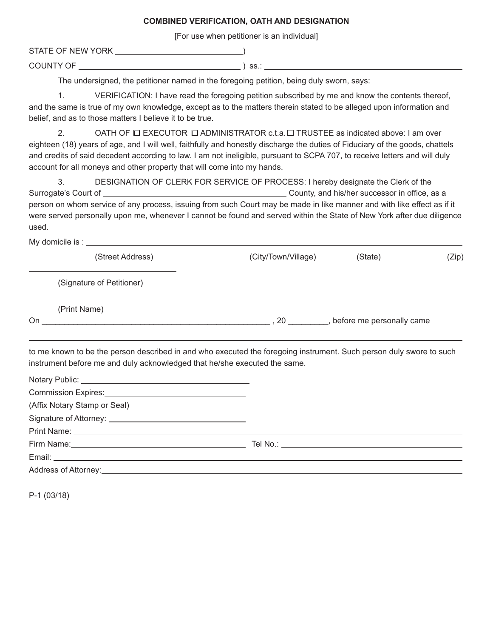## **COMBINED VERIFICATION, OATH AND DESIGNATION**

[For use when petitioner is an individual]

STATE OF NEW YORK )

COUNTY OF ) ss.:

The undersigned, the petitioner named in the foregoing petition, being duly sworn, says:

1. VERIFICATION: I have read the foregoing petition subscribed by me and know the contents thereof, and the same is true of my own knowledge, except as to the matters therein stated to be alleged upon information and belief, and as to those matters I believe it to be true.

2. OATH OF **□** EXECUTOR **□** ADMINISTRATOR c.t.a.**□** TRUSTEE as indicated above: I am over eighteen (18) years of age, and I will well, faithfully and honestly discharge the duties of Fiduciary of the goods, chattels and credits of said decedent according to law. I am not ineligible, pursuant to SCPA 707, to receive letters and will duly account for all moneys and other property that will come into my hands.

3. DESIGNATION OF CLERK FOR SERVICE OF PROCESS: I hereby designate the Clerk of the Surrogate's Court of County, and his/her successor in office, as a person on whom service of any process, issuing from such Court may be made in like manner and with like effect as if it were served personally upon me, whenever I cannot be found and served within the State of New York after due diligence used.

My domicile is :

|    | (Street Address)          | (State)<br>(City/Town/Village)  | (Zip) |
|----|---------------------------|---------------------------------|-------|
|    | (Signature of Petitioner) |                                 |       |
| On | (Print Name)              | before me personally came<br>20 |       |

to me known to be the person described in and who executed the foregoing instrument. Such person duly swore to such instrument before me and duly acknowledged that he/she executed the same.

 $\overline{a}$ 

| (Affix Notary Stamp or Seal)                                               |  |
|----------------------------------------------------------------------------|--|
| Signature of Attorney: <u>contract and the set of the set of Attorney:</u> |  |
|                                                                            |  |
|                                                                            |  |
|                                                                            |  |
|                                                                            |  |

P-1 (03/18)